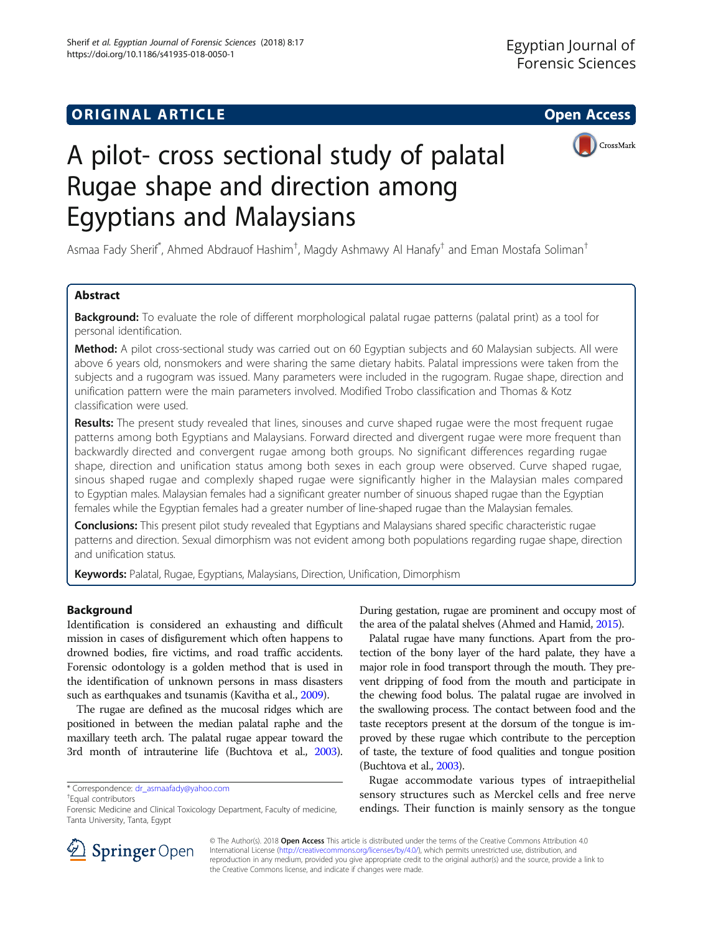## **ORIGINAL ARTICLE CONSERVANCE IN A LOCAL CONSERVANCE IN A LOCAL CONSERVANCE IN A LOCAL CONSERVANCE IN A LOCAL CONS**



# A pilot- cross sectional study of palatal Rugae shape and direction among Egyptians and Malaysians

Asmaa Fady Sherif $\degree$ , Ahmed Abdrauof Hashim $^\dagger$ , Magdy Ashmawy Al Hanafy $^\dagger$  and Eman Mostafa Soliman $^\dagger$ 

## Abstract

**Background:** To evaluate the role of different morphological palatal rugae patterns (palatal print) as a tool for personal identification.

Method: A pilot cross-sectional study was carried out on 60 Egyptian subjects and 60 Malaysian subjects. All were above 6 years old, nonsmokers and were sharing the same dietary habits. Palatal impressions were taken from the subjects and a rugogram was issued. Many parameters were included in the rugogram. Rugae shape, direction and unification pattern were the main parameters involved. Modified Trobo classification and Thomas & Kotz classification were used.

Results: The present study revealed that lines, sinouses and curve shaped rugae were the most frequent rugae patterns among both Egyptians and Malaysians. Forward directed and divergent rugae were more frequent than backwardly directed and convergent rugae among both groups. No significant differences regarding rugae shape, direction and unification status among both sexes in each group were observed. Curve shaped rugae, sinous shaped rugae and complexly shaped rugae were significantly higher in the Malaysian males compared to Egyptian males. Malaysian females had a significant greater number of sinuous shaped rugae than the Egyptian females while the Egyptian females had a greater number of line-shaped rugae than the Malaysian females.

Conclusions: This present pilot study revealed that Egyptians and Malaysians shared specific characteristic rugae patterns and direction. Sexual dimorphism was not evident among both populations regarding rugae shape, direction and unification status.

**Keywords:** Palatal, Rugae, Egyptians, Malaysians, Direction, Unification, Dimorphism

## Background

Identification is considered an exhausting and difficult mission in cases of disfigurement which often happens to drowned bodies, fire victims, and road traffic accidents. Forensic odontology is a golden method that is used in the identification of unknown persons in mass disasters such as earthquakes and tsunamis (Kavitha et al., [2009\)](#page-8-0).

The rugae are defined as the mucosal ridges which are positioned in between the median palatal raphe and the maxillary teeth arch. The palatal rugae appear toward the 3rd month of intrauterine life (Buchtova et al., [2003](#page-8-0)).

\* Correspondence: [dr\\_asmaafady@yahoo.com](mailto:dr_asmaafady@yahoo.com) †

Equal contributors

During gestation, rugae are prominent and occupy most of the area of the palatal shelves (Ahmed and Hamid, [2015](#page-8-0)).

Palatal rugae have many functions. Apart from the protection of the bony layer of the hard palate, they have a major role in food transport through the mouth. They prevent dripping of food from the mouth and participate in the chewing food bolus. The palatal rugae are involved in the swallowing process. The contact between food and the taste receptors present at the dorsum of the tongue is improved by these rugae which contribute to the perception of taste, the texture of food qualities and tongue position (Buchtova et al., [2003\)](#page-8-0).

Rugae accommodate various types of intraepithelial sensory structures such as Merckel cells and free nerve endings. Their function is mainly sensory as the tongue



© The Author(s). 2018 Open Access This article is distributed under the terms of the Creative Commons Attribution 4.0 International License ([http://creativecommons.org/licenses/by/4.0/\)](http://creativecommons.org/licenses/by/4.0/), which permits unrestricted use, distribution, and reproduction in any medium, provided you give appropriate credit to the original author(s) and the source, provide a link to the Creative Commons license, and indicate if changes were made.

Forensic Medicine and Clinical Toxicology Department, Faculty of medicine, Tanta University, Tanta, Egypt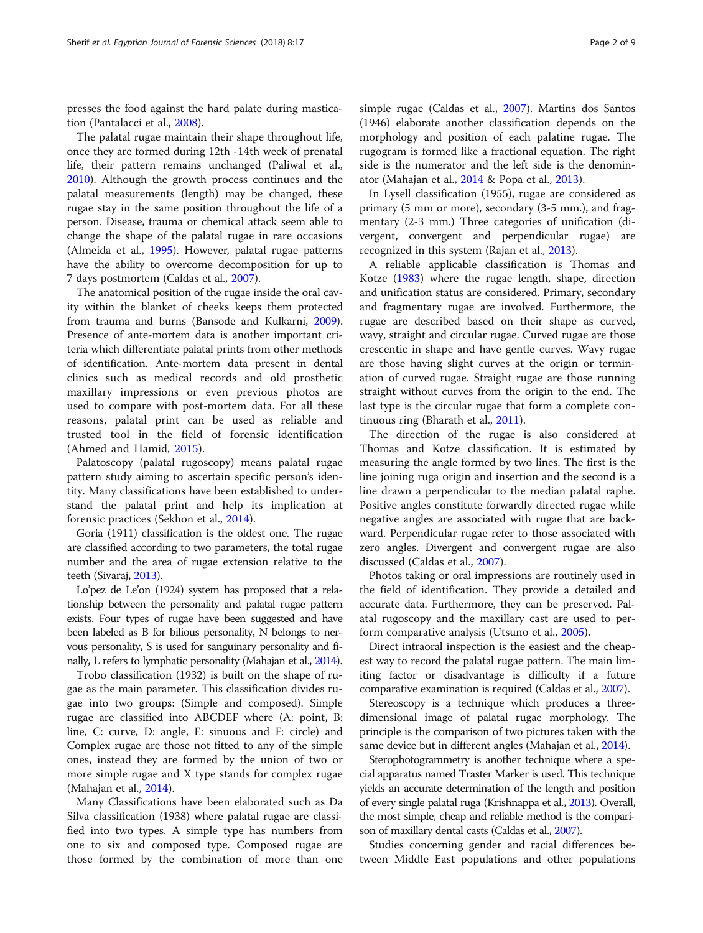presses the food against the hard palate during mastication (Pantalacci et al., [2008\)](#page-8-0).

The palatal rugae maintain their shape throughout life, once they are formed during 12th -14th week of prenatal life, their pattern remains unchanged (Paliwal et al., [2010](#page-8-0)). Although the growth process continues and the palatal measurements (length) may be changed, these rugae stay in the same position throughout the life of a person. Disease, trauma or chemical attack seem able to change the shape of the palatal rugae in rare occasions (Almeida et al., [1995](#page-8-0)). However, palatal rugae patterns have the ability to overcome decomposition for up to 7 days postmortem (Caldas et al., [2007\)](#page-8-0).

The anatomical position of the rugae inside the oral cavity within the blanket of cheeks keeps them protected from trauma and burns (Bansode and Kulkarni, [2009](#page-8-0)). Presence of ante-mortem data is another important criteria which differentiate palatal prints from other methods of identification. Ante-mortem data present in dental clinics such as medical records and old prosthetic maxillary impressions or even previous photos are used to compare with post-mortem data. For all these reasons, palatal print can be used as reliable and trusted tool in the field of forensic identification (Ahmed and Hamid, [2015](#page-8-0)).

Palatoscopy (palatal rugoscopy) means palatal rugae pattern study aiming to ascertain specific person's identity. Many classifications have been established to understand the palatal print and help its implication at forensic practices (Sekhon et al., [2014](#page-8-0)).

Goria (1911) classification is the oldest one. The rugae are classified according to two parameters, the total rugae number and the area of rugae extension relative to the teeth (Sivaraj, [2013\)](#page-8-0).

Lo'pez de Le'on (1924) system has proposed that a relationship between the personality and palatal rugae pattern exists. Four types of rugae have been suggested and have been labeled as B for bilious personality, N belongs to nervous personality, S is used for sanguinary personality and finally, L refers to lymphatic personality (Mahajan et al., [2014](#page-8-0)).

Trobo classification (1932) is built on the shape of rugae as the main parameter. This classification divides rugae into two groups: (Simple and composed). Simple rugae are classified into ABCDEF where (A: point, B: line, C: curve, D: angle, E: sinuous and F: circle) and Complex rugae are those not fitted to any of the simple ones, instead they are formed by the union of two or more simple rugae and X type stands for complex rugae (Mahajan et al., [2014\)](#page-8-0).

Many Classifications have been elaborated such as Da Silva classification (1938) where palatal rugae are classified into two types. A simple type has numbers from one to six and composed type. Composed rugae are those formed by the combination of more than one

simple rugae (Caldas et al., [2007](#page-8-0)). Martins dos Santos (1946) elaborate another classification depends on the morphology and position of each palatine rugae. The rugogram is formed like a fractional equation. The right side is the numerator and the left side is the denominator (Mahajan et al., [2014](#page-8-0) & Popa et al., [2013\)](#page-8-0).

In Lysell classification (1955), rugae are considered as primary (5 mm or more), secondary (3-5 mm.), and fragmentary (2-3 mm.) Three categories of unification (divergent, convergent and perpendicular rugae) are recognized in this system (Rajan et al., [2013](#page-8-0)).

A reliable applicable classification is Thomas and Kotze [\(1983](#page-8-0)) where the rugae length, shape, direction and unification status are considered. Primary, secondary and fragmentary rugae are involved. Furthermore, the rugae are described based on their shape as curved, wavy, straight and circular rugae. Curved rugae are those crescentic in shape and have gentle curves. Wavy rugae are those having slight curves at the origin or termination of curved rugae. Straight rugae are those running straight without curves from the origin to the end. The last type is the circular rugae that form a complete continuous ring (Bharath et al., [2011](#page-8-0)).

The direction of the rugae is also considered at Thomas and Kotze classification. It is estimated by measuring the angle formed by two lines. The first is the line joining ruga origin and insertion and the second is a line drawn a perpendicular to the median palatal raphe. Positive angles constitute forwardly directed rugae while negative angles are associated with rugae that are backward. Perpendicular rugae refer to those associated with zero angles. Divergent and convergent rugae are also discussed (Caldas et al., [2007\)](#page-8-0).

Photos taking or oral impressions are routinely used in the field of identification. They provide a detailed and accurate data. Furthermore, they can be preserved. Palatal rugoscopy and the maxillary cast are used to perform comparative analysis (Utsuno et al., [2005](#page-8-0)).

Direct intraoral inspection is the easiest and the cheapest way to record the palatal rugae pattern. The main limiting factor or disadvantage is difficulty if a future comparative examination is required (Caldas et al., [2007\)](#page-8-0).

Stereoscopy is a technique which produces a threedimensional image of palatal rugae morphology. The principle is the comparison of two pictures taken with the same device but in different angles (Mahajan et al., [2014](#page-8-0)).

Sterophotogrammetry is another technique where a special apparatus named Traster Marker is used. This technique yields an accurate determination of the length and position of every single palatal ruga (Krishnappa et al., [2013\)](#page-8-0). Overall, the most simple, cheap and reliable method is the comparison of maxillary dental casts (Caldas et al., [2007\)](#page-8-0).

Studies concerning gender and racial differences between Middle East populations and other populations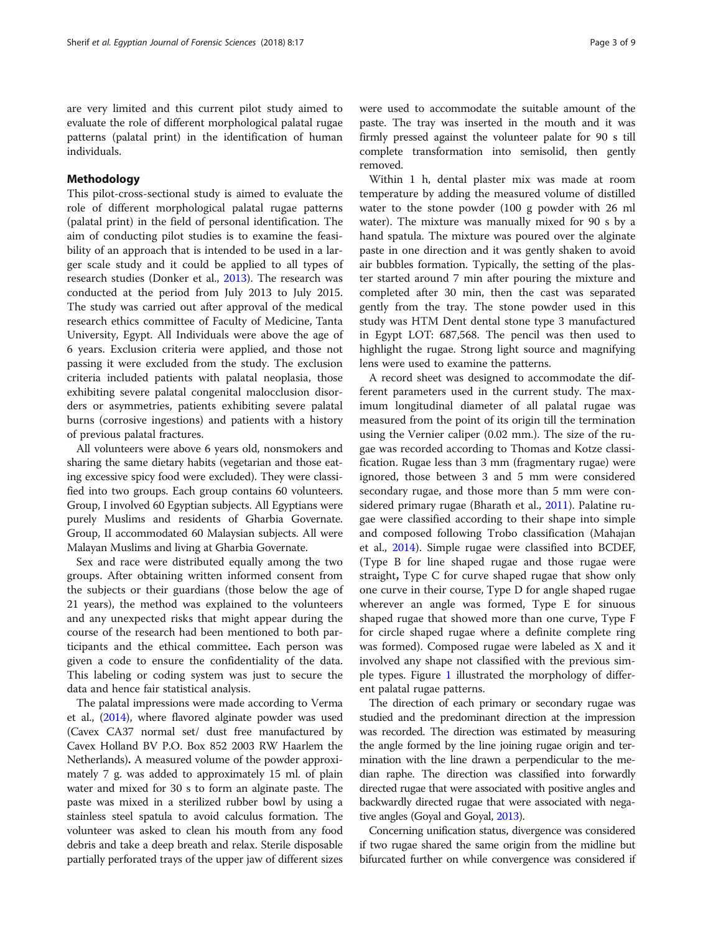are very limited and this current pilot study aimed to evaluate the role of different morphological palatal rugae patterns (palatal print) in the identification of human individuals.

## Methodology

This pilot-cross-sectional study is aimed to evaluate the role of different morphological palatal rugae patterns (palatal print) in the field of personal identification. The aim of conducting pilot studies is to examine the feasibility of an approach that is intended to be used in a larger scale study and it could be applied to all types of research studies (Donker et al., [2013](#page-8-0)). The research was conducted at the period from July 2013 to July 2015. The study was carried out after approval of the medical research ethics committee of Faculty of Medicine, Tanta University, Egypt. All Individuals were above the age of 6 years. Exclusion criteria were applied, and those not passing it were excluded from the study. The exclusion criteria included patients with palatal neoplasia, those exhibiting severe palatal congenital malocclusion disorders or asymmetries, patients exhibiting severe palatal burns (corrosive ingestions) and patients with a history of previous palatal fractures.

All volunteers were above 6 years old, nonsmokers and sharing the same dietary habits (vegetarian and those eating excessive spicy food were excluded). They were classified into two groups. Each group contains 60 volunteers. Group, I involved 60 Egyptian subjects. All Egyptians were purely Muslims and residents of Gharbia Governate. Group, II accommodated 60 Malaysian subjects. All were Malayan Muslims and living at Gharbia Governate.

Sex and race were distributed equally among the two groups. After obtaining written informed consent from the subjects or their guardians (those below the age of 21 years), the method was explained to the volunteers and any unexpected risks that might appear during the course of the research had been mentioned to both participants and the ethical committee. Each person was given a code to ensure the confidentiality of the data. This labeling or coding system was just to secure the data and hence fair statistical analysis.

The palatal impressions were made according to Verma et al., ([2014\)](#page-8-0), where flavored alginate powder was used (Cavex CA37 normal set/ dust free manufactured by Cavex Holland BV P.O. Box 852 2003 RW Haarlem the Netherlands). A measured volume of the powder approximately 7 g. was added to approximately 15 ml. of plain water and mixed for 30 s to form an alginate paste. The paste was mixed in a sterilized rubber bowl by using a stainless steel spatula to avoid calculus formation. The volunteer was asked to clean his mouth from any food debris and take a deep breath and relax. Sterile disposable partially perforated trays of the upper jaw of different sizes were used to accommodate the suitable amount of the paste. The tray was inserted in the mouth and it was firmly pressed against the volunteer palate for 90 s till complete transformation into semisolid, then gently removed.

Within 1 h, dental plaster mix was made at room temperature by adding the measured volume of distilled water to the stone powder (100 g powder with 26 ml water). The mixture was manually mixed for 90 s by a hand spatula. The mixture was poured over the alginate paste in one direction and it was gently shaken to avoid air bubbles formation. Typically, the setting of the plaster started around 7 min after pouring the mixture and completed after 30 min, then the cast was separated gently from the tray. The stone powder used in this study was HTM Dent dental stone type 3 manufactured in Egypt LOT: 687,568. The pencil was then used to highlight the rugae. Strong light source and magnifying lens were used to examine the patterns.

A record sheet was designed to accommodate the different parameters used in the current study. The maximum longitudinal diameter of all palatal rugae was measured from the point of its origin till the termination using the Vernier caliper (0.02 mm.). The size of the rugae was recorded according to Thomas and Kotze classification. Rugae less than 3 mm (fragmentary rugae) were ignored, those between 3 and 5 mm were considered secondary rugae, and those more than 5 mm were considered primary rugae (Bharath et al., [2011\)](#page-8-0). Palatine rugae were classified according to their shape into simple and composed following Trobo classification (Mahajan et al., [2014](#page-8-0)). Simple rugae were classified into BCDEF, (Type B for line shaped rugae and those rugae were straight, Type C for curve shaped rugae that show only one curve in their course, Type D for angle shaped rugae wherever an angle was formed, Type E for sinuous shaped rugae that showed more than one curve, Type F for circle shaped rugae where a definite complete ring was formed). Composed rugae were labeled as X and it involved any shape not classified with the previous simple types. Figure [1](#page-3-0) illustrated the morphology of different palatal rugae patterns.

The direction of each primary or secondary rugae was studied and the predominant direction at the impression was recorded. The direction was estimated by measuring the angle formed by the line joining rugae origin and termination with the line drawn a perpendicular to the median raphe. The direction was classified into forwardly directed rugae that were associated with positive angles and backwardly directed rugae that were associated with negative angles (Goyal and Goyal, [2013\)](#page-8-0).

Concerning unification status, divergence was considered if two rugae shared the same origin from the midline but bifurcated further on while convergence was considered if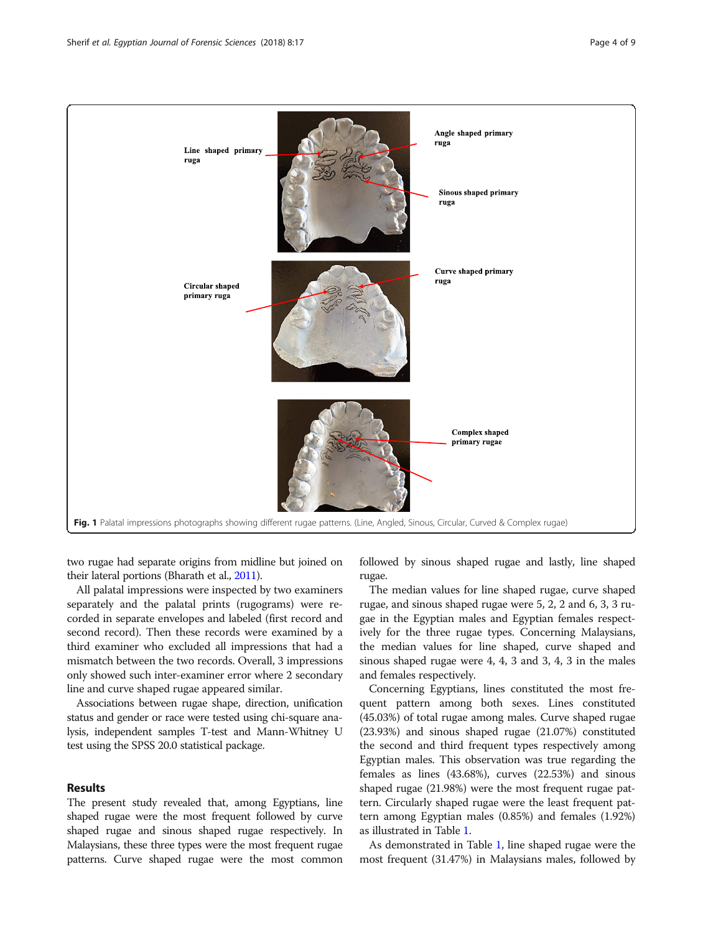<span id="page-3-0"></span>

two rugae had separate origins from midline but joined on their lateral portions (Bharath et al., [2011](#page-8-0)).

All palatal impressions were inspected by two examiners separately and the palatal prints (rugograms) were recorded in separate envelopes and labeled (first record and second record). Then these records were examined by a third examiner who excluded all impressions that had a mismatch between the two records. Overall, 3 impressions only showed such inter-examiner error where 2 secondary line and curve shaped rugae appeared similar.

Associations between rugae shape, direction, unification status and gender or race were tested using chi-square analysis, independent samples T-test and Mann-Whitney U test using the SPSS 20.0 statistical package.

## Results

The present study revealed that, among Egyptians, line shaped rugae were the most frequent followed by curve shaped rugae and sinous shaped rugae respectively. In Malaysians, these three types were the most frequent rugae patterns. Curve shaped rugae were the most common

followed by sinous shaped rugae and lastly, line shaped rugae.

The median values for line shaped rugae, curve shaped rugae, and sinous shaped rugae were 5, 2, 2 and 6, 3, 3 rugae in the Egyptian males and Egyptian females respectively for the three rugae types. Concerning Malaysians, the median values for line shaped, curve shaped and sinous shaped rugae were 4, 4, 3 and 3, 4, 3 in the males and females respectively.

Concerning Egyptians, lines constituted the most frequent pattern among both sexes. Lines constituted (45.03%) of total rugae among males. Curve shaped rugae (23.93%) and sinous shaped rugae (21.07%) constituted the second and third frequent types respectively among Egyptian males. This observation was true regarding the females as lines (43.68%), curves (22.53%) and sinous shaped rugae (21.98%) were the most frequent rugae pattern. Circularly shaped rugae were the least frequent pattern among Egyptian males (0.85%) and females (1.92%) as illustrated in Table [1](#page-4-0).

As demonstrated in Table [1](#page-4-0), line shaped rugae were the most frequent (31.47%) in Malaysians males, followed by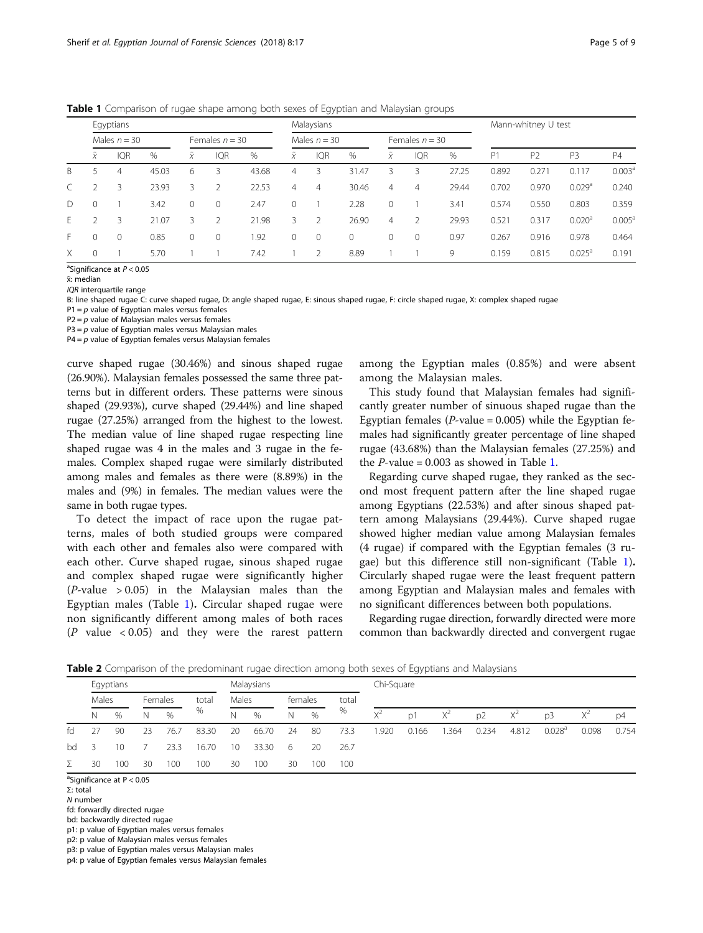<span id="page-4-0"></span>**Table 1** Comparison of rugae shape among both sexes of Egyptian and Malaysian groups

|              |                | Egyptians   |       |                  |              |       |                | Malaysians |       |              | Mann-whitney U test |       |       |                |                    |                    |
|--------------|----------------|-------------|-------|------------------|--------------|-------|----------------|------------|-------|--------------|---------------------|-------|-------|----------------|--------------------|--------------------|
|              | Males $n = 30$ |             |       | Females $n = 30$ |              |       | Males $n = 30$ |            |       |              | Females $n = 30$    |       |       |                |                    |                    |
|              | $\tilde{\chi}$ | <b>IQR</b>  | $\%$  | $\tilde{\chi}$   | <b>IQR</b>   | $\%$  | $\tilde{x}$    | <b>IQR</b> | %     | $\tilde{x}$  | <b>IQR</b>          | %     | P1    | P <sub>2</sub> | P <sub>3</sub>     | P4                 |
| <sub>B</sub> |                | 4           | 45.03 | 6                | 3            | 43.68 | 4              | 3          | 31.47 | 3            | 3                   | 27.25 | 0.892 | 0.271          | 0.117              | 0.003 <sup>5</sup> |
|              |                | 3           | 23.93 | 3                |              | 22.53 | 4              | 4          | 30.46 | 4            | $\overline{4}$      | 29.44 | 0.702 | 0.970          | 0.029 <sup>a</sup> | 0.240              |
| D            | 0              |             | 3.42  | $\circ$          | $\mathbf{0}$ | 2.47  | 0              |            | 2.28  | $\circ$      |                     | 3.41  | 0.574 | 0.550          | 0.803              | 0.359              |
| E            |                | 3           | 21.07 | 3                |              | 21.98 | 3.             |            | 26.90 | 4            |                     | 29.93 | 0.521 | 0.317          | 0.020 <sup>a</sup> | $0.005^{\circ}$    |
| F.           | 0              | $\mathbf 0$ | 0.85  | $\circ$          | $\mathbf 0$  | 1.92  | 0              | $\Omega$   | 0     | $\mathbf{0}$ | $\circ$             | 0.97  | 0.267 | 0.916          | 0.978              | 0.464              |
| Χ            | $\Omega$       |             | 5.70  |                  |              | 7.42  |                |            | 8.89  |              |                     | 9     | 0.159 | 0.815          | $0.025^a$          | 0.191              |

<sup>a</sup>Significance at  $P < 0.05$ 

 $\tilde{x}$ : median

IQR interquartile range

B: line shaped rugae C: curve shaped rugae, D: angle shaped rugae, E: sinous shaped rugae, F: circle shaped rugae, X: complex shaped rugae

 $P1 = p$  value of Egyptian males versus females

 $P2 = p$  value of Malaysian males versus females

 $P3 = p$  value of Egyptian males versus Malaysian males

 $P4 = p$  value of Egyptian females versus Malaysian females

curve shaped rugae (30.46%) and sinous shaped rugae (26.90%). Malaysian females possessed the same three patterns but in different orders. These patterns were sinous shaped (29.93%), curve shaped (29.44%) and line shaped rugae (27.25%) arranged from the highest to the lowest. The median value of line shaped rugae respecting line shaped rugae was 4 in the males and 3 rugae in the females. Complex shaped rugae were similarly distributed among males and females as there were (8.89%) in the males and (9%) in females. The median values were the same in both rugae types.

To detect the impact of race upon the rugae patterns, males of both studied groups were compared with each other and females also were compared with each other. Curve shaped rugae, sinous shaped rugae and complex shaped rugae were significantly higher  $(P-value > 0.05)$  in the Malaysian males than the Egyptian males (Table 1). Circular shaped rugae were non significantly different among males of both races  $(P \text{ value} < 0.05)$  and they were the rarest pattern

among the Egyptian males (0.85%) and were absent among the Malaysian males.

This study found that Malaysian females had significantly greater number of sinuous shaped rugae than the Egyptian females ( $P$ -value = 0.005) while the Egyptian females had significantly greater percentage of line shaped rugae (43.68%) than the Malaysian females (27.25%) and the  $P$ -value = 0.003 as showed in Table 1.

Regarding curve shaped rugae, they ranked as the second most frequent pattern after the line shaped rugae among Egyptians (22.53%) and after sinous shaped pattern among Malaysians (29.44%). Curve shaped rugae showed higher median value among Malaysian females (4 rugae) if compared with the Egyptian females (3 rugae) but this difference still non-significant (Table 1). Circularly shaped rugae were the least frequent pattern among Egyptian and Malaysian males and females with no significant differences between both populations.

Regarding rugae direction, forwardly directed were more common than backwardly directed and convergent rugae

Table 2 Comparison of the predominant rugae direction among both sexes of Egyptians and Malaysians

|    | Egyptians |     |         |      |       |    | Malaysians |             |         |      | Chi-Square |                |       |                |       |                    |       |               |  |  |
|----|-----------|-----|---------|------|-------|----|------------|-------------|---------|------|------------|----------------|-------|----------------|-------|--------------------|-------|---------------|--|--|
|    | Males     |     | Females |      | total |    | Males      |             | females |      |            |                |       |                |       |                    |       |               |  |  |
|    | Ν         | %   | N       | %    | %     | N  | $\%$       | $\mathbb N$ | $\%$    | %    | $X^2$      | D <sub>1</sub> | $X^2$ | D <sub>2</sub> | $X^2$ | p3                 | $X^2$ | <sup>D4</sup> |  |  |
| fd | 27        | 90  | 23      | 76.7 | 83.30 | 20 | 66.70      | 24          | 80      | 73.3 | .920       | 0.166          | 1.364 | 0.234          | 4.812 | 0.028 <sup>a</sup> | 0.098 | 0.754         |  |  |
| bd |           | 10  |         | 23.3 | 16.70 | 10 | 33.30      | 6           | 20      | 26.7 |            |                |       |                |       |                    |       |               |  |  |
|    | 30        | 100 | 30      | 100  | 100   | 30 | 100        | 30          | 100     | 100  |            |                |       |                |       |                    |       |               |  |  |

<sup>a</sup>Significance at P < 0.05

Σ: total

N number

fd: forwardly directed rugae

bd: backwardly directed rugae

p1: p value of Egyptian males versus females

p2: p value of Malaysian males versus females

p3: p value of Egyptian males versus Malaysian males

p4: p value of Egyptian females versus Malaysian females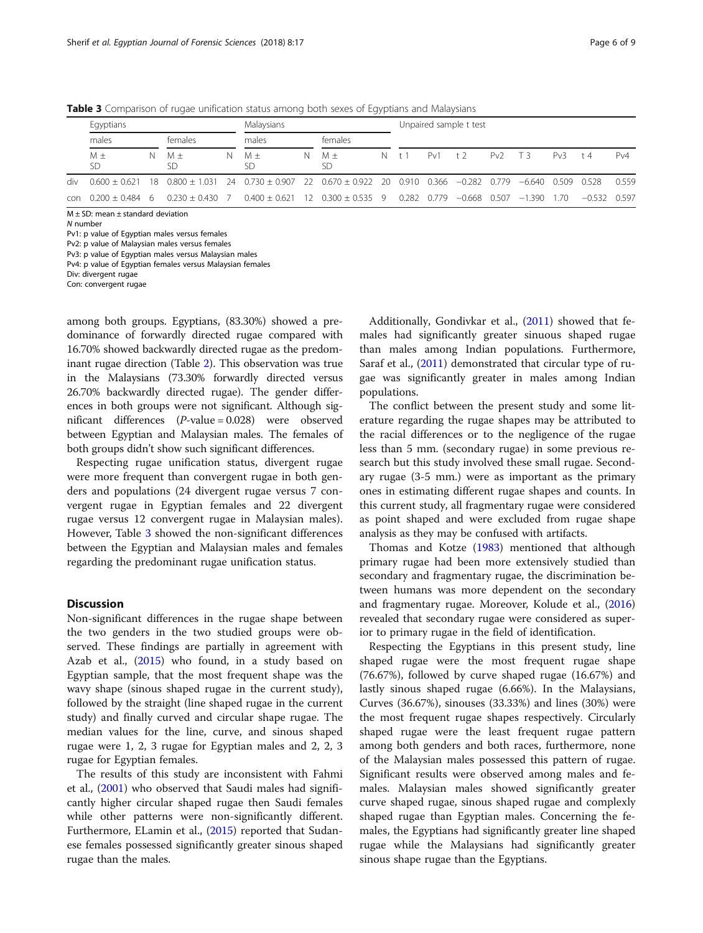**Table 3** Comparison of rugae unification status among both sexes of Fgyptians and Malaysians

|     | Egyptians             |    |                    |    | Malaysians                                                                                                                            | Unpaired sample t test |             |  |         |           |  |     |       |           |                |       |
|-----|-----------------------|----|--------------------|----|---------------------------------------------------------------------------------------------------------------------------------------|------------------------|-------------|--|---------|-----------|--|-----|-------|-----------|----------------|-------|
|     | males                 |    | females            |    | males                                                                                                                                 |                        | females     |  |         |           |  |     |       |           |                |       |
|     | $M +$<br><b>SD</b>    | N. | $M +$<br><b>SD</b> | N. | $M +$<br>SD.                                                                                                                          | N.                     | $M +$<br>SD |  | $N + 1$ | $Pv1$ t 2 |  | Pv2 | $T$ 3 | $Pv3 + 4$ |                | Pv4   |
| div |                       |    |                    |    | $0.600 \pm 0.621$ 18 $0.800 \pm 1.031$ 24 $0.730 \pm 0.907$ 22 $0.670 \pm 0.922$ 20 $0.910$ 0.366 $-0.282$ 0.779 $-6.640$ 0.509 0.528 |                        |             |  |         |           |  |     |       |           |                | 0.559 |
|     | con $0.200 + 0.484$ 6 |    | $0.230 + 0.430$ 7  |    | $0.400 \pm 0.621$ 12 $0.300 \pm 0.535$ 9 0.282 0.779 -0.668 0.507 -1.390                                                              |                        |             |  |         |           |  |     |       | 1.70      | $-0.532$ 0.597 |       |

 $M \pm SD$ : mean  $\pm$  standard deviation

N number Pv1: p value of Egyptian males versus females

Pv2: p value of Malaysian males versus females

Pv3: p value of Egyptian males versus Malaysian males

Pv4: p value of Egyptian females versus Malaysian females

Div: divergent rugae

Con: convergent rugae

among both groups. Egyptians, (83.30%) showed a predominance of forwardly directed rugae compared with 16.70% showed backwardly directed rugae as the predominant rugae direction (Table [2](#page-4-0)). This observation was true in the Malaysians (73.30% forwardly directed versus 26.70% backwardly directed rugae). The gender differences in both groups were not significant. Although significant differences (P-value = 0.028) were observed between Egyptian and Malaysian males. The females of both groups didn't show such significant differences.

Respecting rugae unification status, divergent rugae were more frequent than convergent rugae in both genders and populations (24 divergent rugae versus 7 convergent rugae in Egyptian females and 22 divergent rugae versus 12 convergent rugae in Malaysian males). However, Table 3 showed the non-significant differences between the Egyptian and Malaysian males and females regarding the predominant rugae unification status.

## **Discussion**

Non-significant differences in the rugae shape between the two genders in the two studied groups were observed. These findings are partially in agreement with Azab et al., ([2015](#page-8-0)) who found, in a study based on Egyptian sample, that the most frequent shape was the wavy shape (sinous shaped rugae in the current study), followed by the straight (line shaped rugae in the current study) and finally curved and circular shape rugae. The median values for the line, curve, and sinous shaped rugae were 1, 2, 3 rugae for Egyptian males and 2, 2, 3 rugae for Egyptian females.

The results of this study are inconsistent with Fahmi et al., [\(2001](#page-8-0)) who observed that Saudi males had significantly higher circular shaped rugae then Saudi females while other patterns were non-significantly different. Furthermore, ELamin et al., ([2015\)](#page-8-0) reported that Sudanese females possessed significantly greater sinous shaped rugae than the males.

Additionally, Gondivkar et al., [\(2011\)](#page-8-0) showed that females had significantly greater sinuous shaped rugae than males among Indian populations. Furthermore, Saraf et al., [\(2011\)](#page-8-0) demonstrated that circular type of rugae was significantly greater in males among Indian populations.

The conflict between the present study and some literature regarding the rugae shapes may be attributed to the racial differences or to the negligence of the rugae less than 5 mm. (secondary rugae) in some previous research but this study involved these small rugae. Secondary rugae (3-5 mm.) were as important as the primary ones in estimating different rugae shapes and counts. In this current study, all fragmentary rugae were considered as point shaped and were excluded from rugae shape analysis as they may be confused with artifacts.

Thomas and Kotze ([1983](#page-8-0)) mentioned that although primary rugae had been more extensively studied than secondary and fragmentary rugae, the discrimination between humans was more dependent on the secondary and fragmentary rugae. Moreover, Kolude et al., ([2016](#page-8-0)) revealed that secondary rugae were considered as superior to primary rugae in the field of identification.

Respecting the Egyptians in this present study, line shaped rugae were the most frequent rugae shape (76.67%), followed by curve shaped rugae (16.67%) and lastly sinous shaped rugae (6.66%). In the Malaysians, Curves (36.67%), sinouses (33.33%) and lines (30%) were the most frequent rugae shapes respectively. Circularly shaped rugae were the least frequent rugae pattern among both genders and both races, furthermore, none of the Malaysian males possessed this pattern of rugae. Significant results were observed among males and females. Malaysian males showed significantly greater curve shaped rugae, sinous shaped rugae and complexly shaped rugae than Egyptian males. Concerning the females, the Egyptians had significantly greater line shaped rugae while the Malaysians had significantly greater sinous shape rugae than the Egyptians.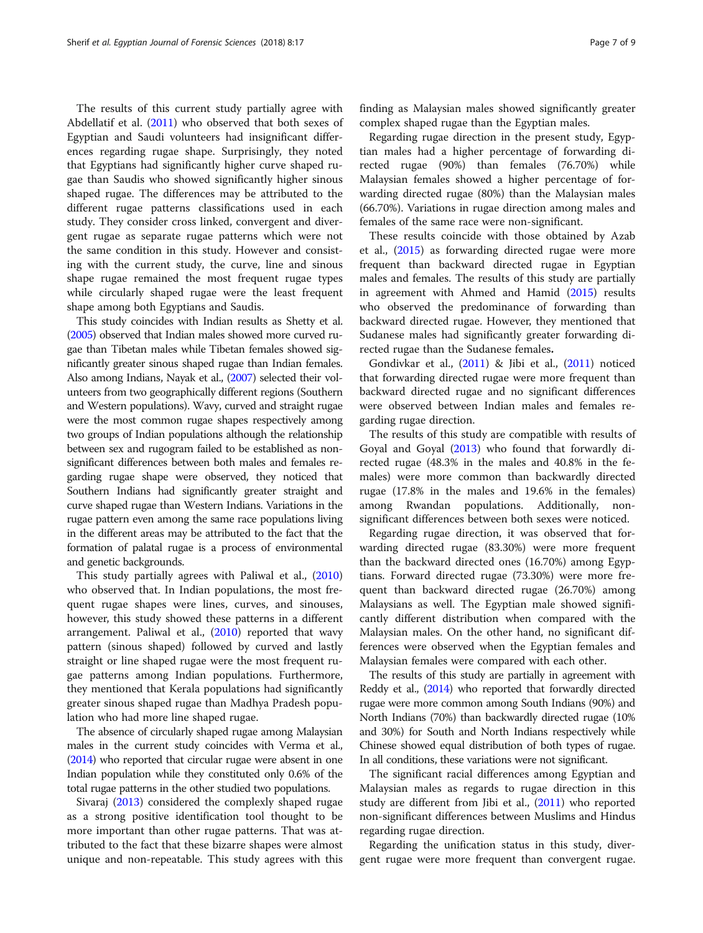The results of this current study partially agree with Abdellatif et al. ([2011](#page-8-0)) who observed that both sexes of Egyptian and Saudi volunteers had insignificant differences regarding rugae shape. Surprisingly, they noted that Egyptians had significantly higher curve shaped rugae than Saudis who showed significantly higher sinous shaped rugae. The differences may be attributed to the different rugae patterns classifications used in each study. They consider cross linked, convergent and divergent rugae as separate rugae patterns which were not the same condition in this study. However and consisting with the current study, the curve, line and sinous shape rugae remained the most frequent rugae types while circularly shaped rugae were the least frequent shape among both Egyptians and Saudis.

This study coincides with Indian results as Shetty et al. ([2005\)](#page-8-0) observed that Indian males showed more curved rugae than Tibetan males while Tibetan females showed significantly greater sinous shaped rugae than Indian females. Also among Indians, Nayak et al., [\(2007](#page-8-0)) selected their volunteers from two geographically different regions (Southern and Western populations). Wavy, curved and straight rugae were the most common rugae shapes respectively among two groups of Indian populations although the relationship between sex and rugogram failed to be established as nonsignificant differences between both males and females regarding rugae shape were observed, they noticed that Southern Indians had significantly greater straight and curve shaped rugae than Western Indians. Variations in the rugae pattern even among the same race populations living in the different areas may be attributed to the fact that the formation of palatal rugae is a process of environmental and genetic backgrounds.

This study partially agrees with Paliwal et al., ([2010](#page-8-0)) who observed that. In Indian populations, the most frequent rugae shapes were lines, curves, and sinouses, however, this study showed these patterns in a different arrangement. Paliwal et al., ([2010](#page-8-0)) reported that wavy pattern (sinous shaped) followed by curved and lastly straight or line shaped rugae were the most frequent rugae patterns among Indian populations. Furthermore, they mentioned that Kerala populations had significantly greater sinous shaped rugae than Madhya Pradesh population who had more line shaped rugae.

The absence of circularly shaped rugae among Malaysian males in the current study coincides with Verma et al., ([2014\)](#page-8-0) who reported that circular rugae were absent in one Indian population while they constituted only 0.6% of the total rugae patterns in the other studied two populations.

Sivaraj ([2013](#page-8-0)) considered the complexly shaped rugae as a strong positive identification tool thought to be more important than other rugae patterns. That was attributed to the fact that these bizarre shapes were almost unique and non-repeatable. This study agrees with this

finding as Malaysian males showed significantly greater complex shaped rugae than the Egyptian males.

Regarding rugae direction in the present study, Egyptian males had a higher percentage of forwarding directed rugae (90%) than females (76.70%) while Malaysian females showed a higher percentage of forwarding directed rugae (80%) than the Malaysian males (66.70%). Variations in rugae direction among males and females of the same race were non-significant.

These results coincide with those obtained by Azab et al., ([2015](#page-8-0)) as forwarding directed rugae were more frequent than backward directed rugae in Egyptian males and females. The results of this study are partially in agreement with Ahmed and Hamid [\(2015\)](#page-8-0) results who observed the predominance of forwarding than backward directed rugae. However, they mentioned that Sudanese males had significantly greater forwarding directed rugae than the Sudanese females.

Gondivkar et al., ([2011\)](#page-8-0) & Jibi et al., ([2011](#page-8-0)) noticed that forwarding directed rugae were more frequent than backward directed rugae and no significant differences were observed between Indian males and females regarding rugae direction.

The results of this study are compatible with results of Goyal and Goyal ([2013](#page-8-0)) who found that forwardly directed rugae (48.3% in the males and 40.8% in the females) were more common than backwardly directed rugae (17.8% in the males and 19.6% in the females) among Rwandan populations. Additionally, nonsignificant differences between both sexes were noticed.

Regarding rugae direction, it was observed that forwarding directed rugae (83.30%) were more frequent than the backward directed ones (16.70%) among Egyptians. Forward directed rugae (73.30%) were more frequent than backward directed rugae (26.70%) among Malaysians as well. The Egyptian male showed significantly different distribution when compared with the Malaysian males. On the other hand, no significant differences were observed when the Egyptian females and Malaysian females were compared with each other.

The results of this study are partially in agreement with Reddy et al., [\(2014\)](#page-8-0) who reported that forwardly directed rugae were more common among South Indians (90%) and North Indians (70%) than backwardly directed rugae (10% and 30%) for South and North Indians respectively while Chinese showed equal distribution of both types of rugae. In all conditions, these variations were not significant.

The significant racial differences among Egyptian and Malaysian males as regards to rugae direction in this study are different from Jibi et al., ([2011](#page-8-0)) who reported non-significant differences between Muslims and Hindus regarding rugae direction.

Regarding the unification status in this study, divergent rugae were more frequent than convergent rugae.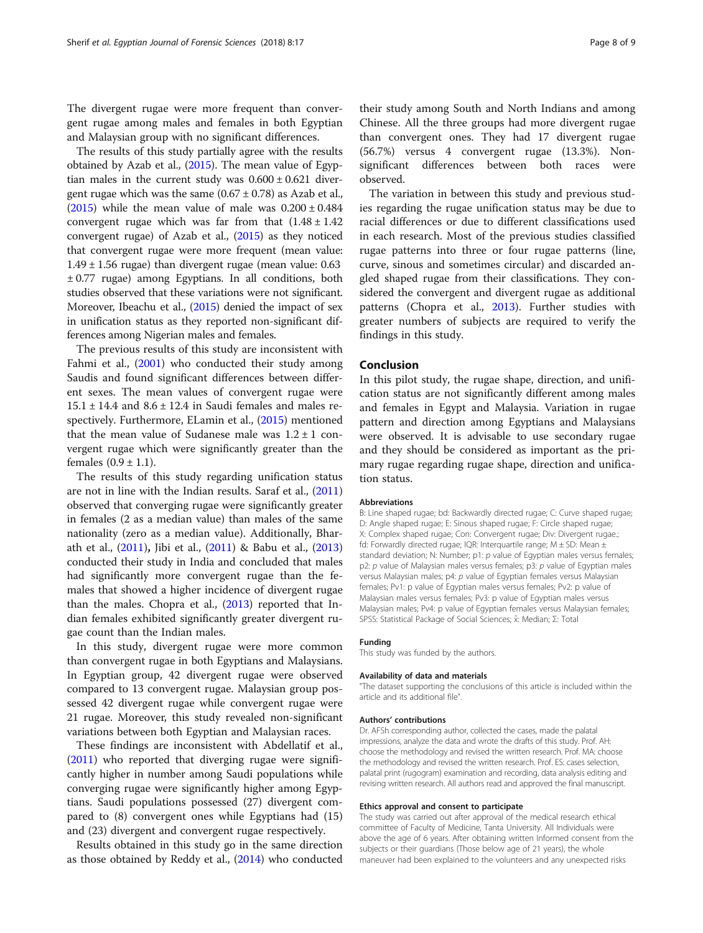The divergent rugae were more frequent than convergent rugae among males and females in both Egyptian and Malaysian group with no significant differences.

The results of this study partially agree with the results obtained by Azab et al., ([2015\)](#page-8-0). The mean value of Egyptian males in the current study was  $0.600 \pm 0.621$  divergent rugae which was the same  $(0.67 \pm 0.78)$  as Azab et al., ([2015](#page-8-0)) while the mean value of male was  $0.200 \pm 0.484$ convergent rugae which was far from that  $(1.48 \pm 1.42)$ convergent rugae) of Azab et al., [\(2015](#page-8-0)) as they noticed that convergent rugae were more frequent (mean value:  $1.49 \pm 1.56$  rugae) than divergent rugae (mean value: 0.63 ± 0.77 rugae) among Egyptians. In all conditions, both studies observed that these variations were not significant. Moreover, Ibeachu et al., ([2015](#page-8-0)) denied the impact of sex in unification status as they reported non-significant differences among Nigerian males and females.

The previous results of this study are inconsistent with Fahmi et al., [\(2001\)](#page-8-0) who conducted their study among Saudis and found significant differences between different sexes. The mean values of convergent rugae were  $15.1 \pm 14.4$  and  $8.6 \pm 12.4$  in Saudi females and males respectively. Furthermore, ELamin et al., ([2015\)](#page-8-0) mentioned that the mean value of Sudanese male was  $1.2 \pm 1$  convergent rugae which were significantly greater than the females  $(0.9 \pm 1.1)$ .

The results of this study regarding unification status are not in line with the Indian results. Saraf et al., ([2011](#page-8-0)) observed that converging rugae were significantly greater in females (2 as a median value) than males of the same nationality (zero as a median value). Additionally, Bharath et al., [\(2011\)](#page-8-0), Jibi et al., [\(2011\)](#page-8-0) & Babu et al., ([2013](#page-8-0)) conducted their study in India and concluded that males had significantly more convergent rugae than the females that showed a higher incidence of divergent rugae than the males. Chopra et al., ([2013](#page-8-0)) reported that Indian females exhibited significantly greater divergent rugae count than the Indian males.

In this study, divergent rugae were more common than convergent rugae in both Egyptians and Malaysians. In Egyptian group, 42 divergent rugae were observed compared to 13 convergent rugae. Malaysian group possessed 42 divergent rugae while convergent rugae were 21 rugae. Moreover, this study revealed non-significant variations between both Egyptian and Malaysian races.

These findings are inconsistent with Abdellatif et al., ([2011](#page-8-0)) who reported that diverging rugae were significantly higher in number among Saudi populations while converging rugae were significantly higher among Egyptians. Saudi populations possessed (27) divergent compared to (8) convergent ones while Egyptians had (15) and (23) divergent and convergent rugae respectively.

Results obtained in this study go in the same direction as those obtained by Reddy et al., [\(2014](#page-8-0)) who conducted their study among South and North Indians and among Chinese. All the three groups had more divergent rugae than convergent ones. They had 17 divergent rugae (56.7%) versus 4 convergent rugae (13.3%). Nonsignificant differences between both races were observed.

The variation in between this study and previous studies regarding the rugae unification status may be due to racial differences or due to different classifications used in each research. Most of the previous studies classified rugae patterns into three or four rugae patterns (line, curve, sinous and sometimes circular) and discarded angled shaped rugae from their classifications. They considered the convergent and divergent rugae as additional patterns (Chopra et al., [2013\)](#page-8-0). Further studies with greater numbers of subjects are required to verify the findings in this study.

## Conclusion

In this pilot study, the rugae shape, direction, and unification status are not significantly different among males and females in Egypt and Malaysia. Variation in rugae pattern and direction among Egyptians and Malaysians were observed. It is advisable to use secondary rugae and they should be considered as important as the primary rugae regarding rugae shape, direction and unification status.

#### Abbreviations

B: Line shaped rugae; bd: Backwardly directed rugae; C: Curve shaped rugae; D: Angle shaped rugae; E: Sinous shaped rugae; F: Circle shaped rugae; X: Complex shaped rugae; Con: Convergent rugae; Div: Divergent rugae.; fd: Forwardly directed rugae; IQR: Interguartile range;  $M \pm SD$ : Mean  $\pm$ standard deviation; N: Number;  $p1: p$  value of Egyptian males versus females; p2:  $p$  value of Malaysian males versus females; p3:  $p$  value of Egyptian males versus Malaysian males; p4: p value of Egyptian females versus Malaysian females; Pv1: p value of Egyptian males versus females; Pv2: p value of Malaysian males versus females; Pv3: p value of Egyptian males versus Malaysian males; Pv4: p value of Egyptian females versus Malaysian females; SPSS: Statistical Package of Social Sciences; x: Median; Σ: Total

#### Funding

This study was funded by the authors.

#### Availability of data and materials

"The dataset supporting the conclusions of this article is included within the article and its additional file".

#### Authors' contributions

Dr. AFSh corresponding author, collected the cases, made the palatal impressions, analyze the data and wrote the drafts of this study. Prof. AH: choose the methodology and revised the written research. Prof. MA: choose the methodology and revised the written research. Prof. ES: cases selection, palatal print (rugogram) examination and recording, data analysis editing and revising written research. All authors read and approved the final manuscript.

#### Ethics approval and consent to participate

The study was carried out after approval of the medical research ethical committee of Faculty of Medicine, Tanta University. All Individuals were above the age of 6 years. After obtaining written Informed consent from the subjects or their guardians (Those below age of 21 years), the whole maneuver had been explained to the volunteers and any unexpected risks